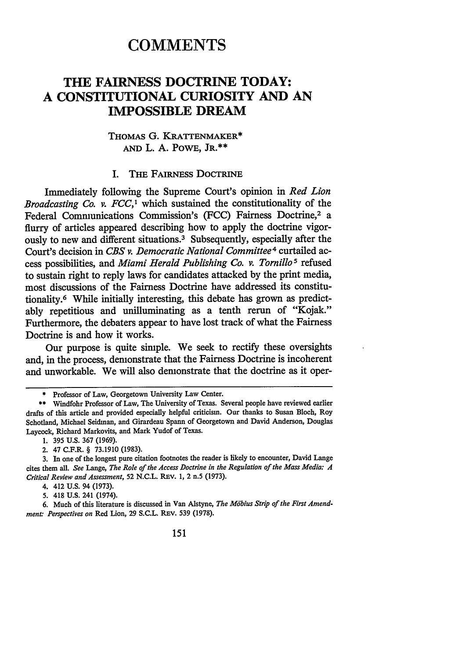# **COMMENTS**

## **THE FAIRNESS DOCTRINE TODAY: A CONSTITUTIONAL CURIOSITY AND AN IMPOSSIBLE DREAM**

## THOMAS G. KRATTENMAKER\* **AND** L. **A.** POWE, JR.\*\*

### I. THE FAIRNESS DOCTRINE

Immediately following the Supreme Court's opinion in *Red Lion Broadcasting Co. v. FCC,'* which sustained the constitutionality of the Federal Communications Commission's (FCC) Fairness Doctrine,<sup>2</sup> a flurry of articles appeared describing how to apply the doctrine vigorously to new and different situations.3 Subsequently, especially after the Court's decision in *CBS v. Democratic National Committee4* curtailed access possibilities, and *Miami Herald Publishing Co. v. Tornillo5* refused to sustain right to reply laws for candidates attacked **by** the print media, most discussions of the Fairness Doctrine have addressed its constitutionality.6 While initially interesting, this debate has grown as predictably repetitious and unilluminating as a tenth rerun of "Kojak." Furthermore, the debaters appear to have lost track of what the Fairness Doctrine is and how it works.

Our purpose is quite simple. We seek to rectify these oversights and, in the process, demonstrate that the Fairness Doctrine is incoherent and unworkable. We will also demonstrate that the doctrine as it oper-

**5.** 418 **U.S.** 241 (1974).

<sup>\*</sup> Professor of Law, Georgetown University Law Center.

<sup>\*\*</sup> Windfohr Professor of Law, The University of Texas. Several people have reviewed earlier drafts of this article and provided especially helpful criticism. Our thanks to Susan Bloch, Roy Schotland, Michael Seidman, and Girardeau Spann of Georgetown and David Anderson, Douglas Laycock, Richard Markovits, and Mark Yudof of Texas.

**<sup>1. 395</sup> U.S. 367 (1969).**

<sup>2. 47</sup> C.F.R. § **73.1910 (1983).**

**<sup>3.</sup>** In one of the longest pure citation footnotes the reader is likely to encounter, David Lange cites them all. *See* Lange, *The Role of the Access Doctrine in the Regulation of the Mass Media: 4 Critical Review and Assessment,* 52 **N.C.L.** REv. **1,** 2 n.5 (1973).

<sup>4. 412</sup> **U.S.** 94 (1973).

**<sup>6.</sup>** Much of this literature is discussed in Van Alstyne, *The Mdbius Strip of the First Amendment: Perspectives on* Red Lion, 29 S.C.L. REV. 539 (1978).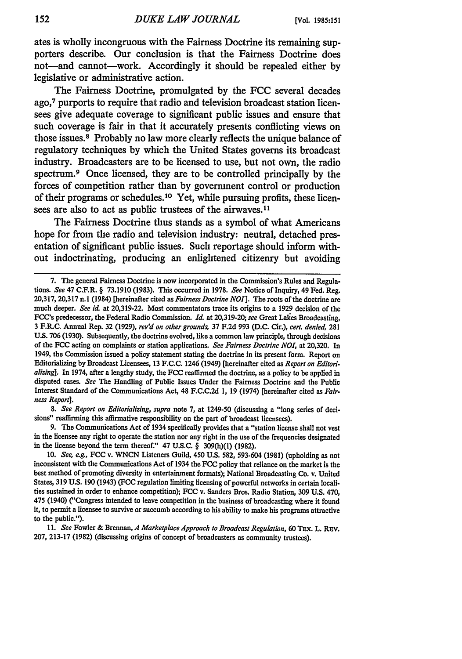ates is wholly incongruous with the Fairness Doctrine its remaining supporters describe. Our conclusion is that the Fairness Doctrine does not-and cannot-work. Accordingly it should be repealed either **by** legislative or administrative action.

The Fairness Doctrine, promulgated **by** the **FCC** several decades ago,7 purports to require that radio and television broadcast station licensees give adequate coverage to significant public issues and ensure that such coverage is fair in that it accurately presents conflicting views on those issues.8 Probably no law more clearly reflects the unique balance of regulatory techniques **by** which the United States governs its broadcast industry. Broadcasters are to be licensed to use, but not own, the radio spectrum. 9 Once licensed, they are to be controlled principally **by** the forces of competition rather than **by** government control or production of their programs or schedules.10 Yet, while pursuing profits, these licensees are also to act as public trustees of the airwaves.<sup>11</sup>

The Fairness Doctrine thus stands as a symbol of what Americans hope for from the radio and television industry: neutral, detached presentation of significant public issues. Such reportage should inform without indoctrinating, producing an enlightened citizenry but avoiding

*8. See Report on Editorializing, supra* note 7, at 1249-50 (discussing a "long series of decisions" reaffirming this affirmative responsibility on the part of broadcast licensees).

9. The Communications Act of 1934 specifically provides that a "station license shall not vest in the licensee any right to operate the station nor any right in the use of the frequencies designated in the license beyond the term thereof." 47 U.S.C. § 309(h)(1) (1982).

*10. See g.,* FCC v. WNCN Listeners Guild, 450 U.S. 582, 593-604 (1981) (upholding as not inconsistent with the Communications Act of 1934 the FCC policy that reliance on the market is the best method of promoting diversity in entertainment formats); National Broadcasting Co. v. United States, 319 **U.S.** 190 (1943) **(FCC** regulation limiting licensing of powerful networks in certain localities sustained in order to enhance competition); FCC v. Sanders Bros. Radio Station, 309 U.S. 470, 475 (1940) ("Congress intended to leave competition in the business of broadcasting where it found it, to permit a licensee to survive or succumb according to his ability to make his programs attractive to the public.").

11. *See* Fowler & *Brennan, A Marketplace Approach to Broadcast Regulation,* 60 TEx. L. REv. 207, 213-17 (1982) (discussing origins of concept of broadcasters as community trustees).

**<sup>7.</sup>** The general Fairness Doctrine is now incorporated in the Commission's Rules and Regulations. *See* 47 C.F.R. § 73.1910 (1983). This occurred in 1978. *See* Notice of Inquiry, 49 Fed. Reg. 20,317, 20,317 **n.1** (1984) [hereinafter cited *as Fairness Doctrine N01].* The roots of the doctrine are much deeper. *See id,* at 20,319-22. Most commentators trace its origins to a 1929 decision of the FCC's predecessor, the Federal Radio Commission. *Id.* at 20,319-20; *see* Great Lales Broadcasting, 3 F.R.C. Annual Rep. 32 (1929), *rev'd on other grounds,* 37 F.2d 993 (D.C. Cir.), *cert. denied, 281* **U.S.** 706 (1930). Subsequently, the doctrine evolved, like a common law principle, through decisions of the **FCC** acting on complaints or station applications. *See Fairness Doctrine NOI,* at 20,320. In 1949, the Commission issued a policy statement stating the doctrine in its present form. Report on Editorializing **by** Broadcast Licensees, 13 F.C.C. 1246 (1949) [hereinafter cited as *Report on Editorializing].* In 1974, after a lengthy study, the **FCC** reaffirmed the doctrine, as a policy to be applied in disputed cases. *See* The Handling of Public Issues Under the Fairness Doctrine and the Public Interest Standard of the Communications Act, 48 F.C.C.2d **1,** 19 (1974) [hereinafter cited as *Fairness Report].*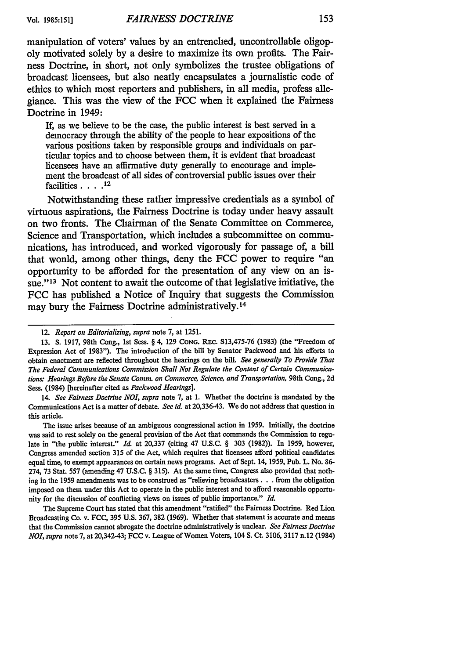manipulation of voters' values by an entrenched, uncontrollable oligopoly motivated solely **by** a desire to maximize its own profits. The Fairness Doctrine, in short, not only symbolizes the trustee obligations of broadcast licensees, but also neatly encapsulates a journalistic code of ethics to which most reporters and publishers, in all media, profess allegiance. This was the view of the **FCC** when it explained the Fairness Doctrine in 1949:

If, as we believe to be the case, the public interest is best served in a democracy through the ability of the people to hear expositions of the various positions taken **by** responsible groups and individuals on particular topics and to choose between them, it is evident that broadcast licensees have an affirmative duty generally to encourage and implement the broadcast of all sides of controversial public issues over their facilities **.... 12**

Notwithstanding these rather impressive credentials as a symbol of virtuous aspirations, the Fairness Doctrine is today under heavy assault on two fronts. The Chairman of the Senate Committee on Commerce, Science and Transportation, which includes a subcommittee on communications, has introduced, and worked vigorously for passage of, a **bill** that would, among other things, deny the **FCC** power to require "an opportunity to be afforded for the presentation of any view on an issue."<sup>13</sup> Not content to await the outcome of that legislative initiative, the **FCC** has published a Notice of Inquiry that suggests the Commission may bury the Fairness Doctrine administratively. <sup>14</sup>

14. *See Fairness Doctrine NOI*, *supra* note 7, at 1. Whether the doctrine is mandated by the Communications Act is a matter of debate. *See id* at 20,336-43. We do not address that question in this article.

The issue arises because of an ambiguous congressional action in 1959. Initially, the doctrine was said to rest solely on the general provision of the Act that commands the Commission to regulate in "the public interest." *Id.* at 20,337 (citing 47 U.S.C. § 303 (1982)). In 1959, however, Congress amended section 315 of the Act, which requires that licensees afford political candidates equal time, to exempt appearances on certain news programs. Act of Sept. 14, 1959, Pub. L. No. 86- 274, 73 Stat. 557 (amending 47 U.S.C. § 315). At the same time, Congress also provided that nothing in the 1959 amendments was to be construed as "relieving broadcasters. **. .** from the obligation imposed on them under this Act to operate in the public interest and to afford reasonable opportunity for the discussion of conflicting views on issues of public importance." *Id.*

The Supreme Court has stated that this amendment "ratified" the Fairness Doctrine. Red Lion Broadcasting Co. v. FCC, 395 U.S. 367, 382 (1969). Whether that statement is accurate and means that the Commission cannot abrogate the doctrine administratively is unclear. *See Fairness Doctrine N01, supra* note 7, at 20,342-43; FCC v. League of Women Voters, 104 S. Ct. 3106, 3117 n.12 (1984)

<sup>12.</sup> *Report on Editorializing, supra* note 7, at 1251.

<sup>13.</sup> S. 1917, 98th Cong., 1st Sess. § 4, 129 Cong. REC. S13,475-76 (1983) (the "Freedom of Expression Act of 1983"). The introduction of the bill **by** Senator Packwood and his efforts to obtain enactment are reflected throughout the hearings on the bill. *See generally To Provide That The Federal Communications Commission Shall Not Regulate the Content of Certain Communications: Hearings Before the Senate Comn. on Commerce, Science, and Transportation,* 98th Cong., 2d Sess. (1984) [hereinafter cited as *Packwood Hearings].*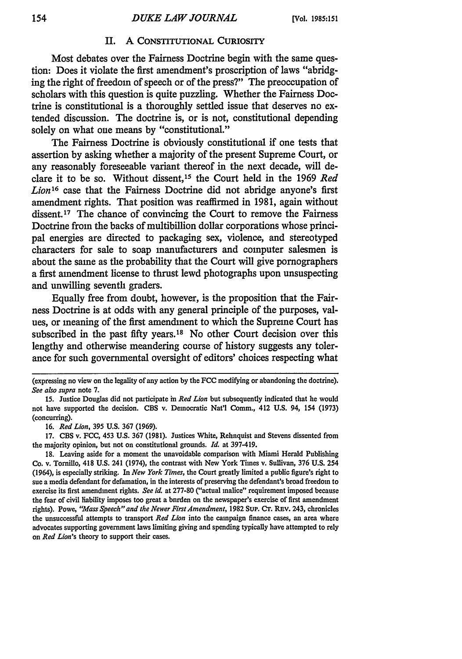#### **II. A CONSTITUTIONAL** CURIOSITY

Most debates over the Fairness Doctrine begin with the same question: Does it violate the first amendment's proscription of laws "abridging the right of freedom of speech or of the press?" The preoccupation of scholars with this question is quite puzzling. Whether the Fairness Doctrine is constitutional is a thoroughly settled issue that deserves no extended discussion. The doctrine is, or is not, constitutional depending solely on what one means by "constitutional."

The Fairness Doctrine is obviously constitutional if one tests that assertion by asking whether a majority of the present Supreme Court, or any reasonably foreseeable variant thereof in the next decade, will declare it to be so. Without dissent,15 the Court held in the 1969 *Red* Lion<sup>16</sup> case that the Fairness Doctrine did not abridge anyone's first amendment rights. That position was reaffirmed in 1981, again without dissent.<sup>17</sup> The chance of convincing the Court to remove the Fairness Doctrine from the backs of multibillion dollar corporations whose principal energies are directed to packaging sex, violence, and stereotyped characters for sale to soap manufacturers and computer salesmen is about the same as the probability that the Court will give pornographers a first amendment license to thrust lewd photographs upon unsuspecting and unwilling seventh graders.

Equally free from doubt, however, is the proposition that the Fairness Doctrine is at odds with any general principle of the purposes, values, or meaning of the first amendment to which the Supreme Court has subscribed in the past fifty years.<sup>18</sup> No other Court decision over this lengthy and otherwise meandering course of history suggests any tolerance for such governmental oversight of editors' choices respecting what

**16.** *Red Lion,* **395 U.S. 367 (1969).**

**17. CBS** v. **FCC,** 453 **U.S. 367 (1981).** Justices White, Rehnquist and Stevens dissented from the majority opinion, but not on constitutional grounds. *Id.* at **397-419.**

**18.** Leaving aside for a moment the unavoidable comparison with Miami Herald Publishing Co. v. Tornillo, 418 **U.S.** 241 (1974), the contrast with New York Times v. Sullivan, **376 U.S.** 254 (1964), is especially striking. In *New York Times,* the Court greatly limited a public figure's right to sue a media defendant for defamation, in the interests of preserving the defendant's broad freedom to exercise its first amendment rights. *See id.* at **277-80** ("actual malice" requirement imposed because the fear of civil liability imposes too great a burden on the newspaper's exercise of first amendment rights). Powe, "Mass Speech" and the Newer First Amendment, 1982 Sup. Cr. REV. 243, chronicles the unsuccessful attempts to transport *Red Lion* into the campaign finance cases, an area where advocates supporting government laws limiting giving and spending typically have attempted to rely on *Red Lion's* theory to support their cases.

<sup>(</sup>expressing no view on the legality of any action **by** the **FCC** modifying or abandoning the doctrine). *See also supra* note **7.**

**<sup>15.</sup>** Justice Douglas did not participate in *Red Lion* but subsequently indicated that he would not have supported the decision. **CBS** v. Democratic Nat'l Comm., 412 **U.S.** 94, 154 **(1973)** (concurring).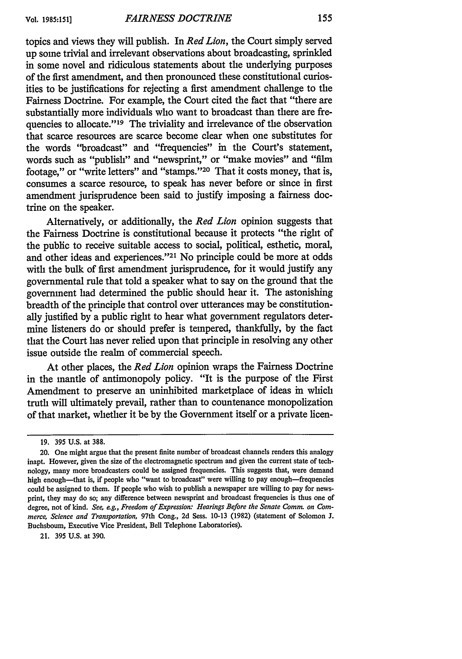topics and views they will publish. In *Red Lion,* the Court simply served up some trivial and irrelevant observations about broadcasting, sprinkled in some novel and ridiculous statements about the underlying purposes of the first amendment, and then pronounced these constitutional curiosities to be justifications for rejecting a first amendment challenge to the Fairness Doctrine. For example, the Court cited the fact that "there are substantially more individuals who want to broadcast than there are frequencies to allocate."<sup>19</sup> The triviality and irrelevance of the observation that scarce resources are scarce become clear when one substitutes for the words "broadcast" and "frequencies" in the Court's statement, words such as "publish" and "newsprint," or "make movies" and "film footage," or "write letters" and "stamps."<sup>20</sup> That it costs money, that is, consumes a scarce resource, to speak has never before or since in first amendment jurisprudence been said to justify imposing a fairness doc-

Alternatively, or additionally, the *Red Lion* opinion suggests that the Fairness Doctrine is constitutional because it protects "the right of the public to receive suitable access to social, political, esthetic, moral, and other ideas and experiences."<sup>21</sup> No principle could be more at odds with the bulk of first amendment jurisprudence, for it would justify any governmental rule that told a speaker what to say on the ground that the government had determined the public should hear it. The astonishing breadth of the principle that control over utterances may be constitutionally justified by a public right to hear what government regulators determine listeners do or should prefer is tempered, thankfully, by the fact that the Court has never relied upon that principle in resolving any other issue outside the realm of commercial speech.

At other places, the *Red Lion* opinion wraps the Fairness Doctrine in the mantle of antimonopoly policy. "It is the purpose of the First Amendment to preserve an uninhibited marketplace of ideas in which truth will ultimately prevail, rather than to countenance monopolization of that market, whether it be by the Government itself or a private licen-

trine on the speaker.

21. 395 U.S. at 390.

**<sup>19. 395</sup> U.S.** at **388.**

<sup>20.</sup> One might argue that the present finite number of broadcast channels renders this analogy inapt. However, given the size of the electromagnetic spectrum and given the current state of technology, many more broadcasters could be assigned frequencies. This suggests that, were demand high enough-that is, if people who "want to broadcast" were willing to pay enough-frequencies could be assigned to them. If people who wish to publish a newspaper are willing to pay for newsprint, they may do so; any difference between newsprint and broadcast frequencies is thus one of degree, not of kind. *See, eg., Freedom of Expression: Hearings Before the Senate Comm. on Commerce, Science and Transportation,* 97th Cong., 2d Sess. 10-13 (1982) (statement of Solomon J. Buchsboum, Executive Vice President, Bell Telephone Laboratories).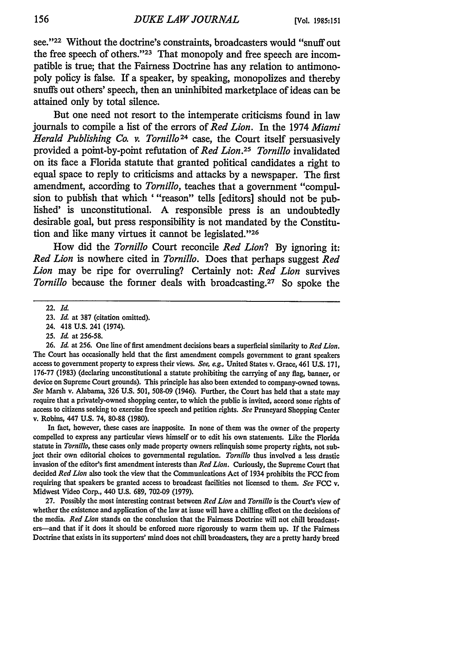see."<sup>22</sup> Without the doctrine's constraints, broadcasters would "snuff out the free speech of others. '23 That monopoly and free speech are incompatible is true; that the Fairness Doctrine has any relation to antimonopoly policy is false. If a speaker, by speaking, monopolizes and thereby snuffs out others' speech, then an uninhibited marketplace of ideas can be attained only by total silence.

But one need not resort to the intemperate criticisms found in law journals to compile a list of the errors of *Red Lion.* In the 1974 *Miami Herald Publishing Co. v. Tornilo24* case, the Court itself persuasively provided a point-by-point refutation of *Red Lion.25 Tornillo* invalidated on its face a Florida statute that granted political candidates a right to equal space to reply to criticisms and attacks by a newspaper. The first amendment, according to *Tornillo,* teaches that a government "compulsion to publish that which '"reason" tells [editors] should not be published' is unconstitutional. **A** responsible press is an undoubtedly desirable goal, but press responsibility is not mandated by the Constitution and like many virtues it cannot be legislated."<sup>26</sup>

How did the *Tornillo* Court reconcile *Red Lion?* By ignoring it: *Red Lion* is nowhere cited in *Tornillo.* Does that perhaps suggest *Red Lion* may be ripe for overruling? Certainly not: *Red Lion* survives *Tornillo* because the former deals with broadcasting.<sup>27</sup> So spoke the

24. 418 **U.S.** 241 (1974).

In fact, however, these cases are inapposite. In none of them was the owner of the property compelled to express any particular views himself or to edit his own statements. Like the Florida statute in *Tornillo,* these cases only made property owners relinquish some property rights, not subject their own editorial choices to governmental regulation. *Tornillo* thus involved a less drastic invasion of the editor's first amendment interests than *Red Lion.* Curiously, the Supreme Court that decided *Red Lion* also took the view that the Communications Act of 1934 prohibits the **FCC** from requiring that speakers be granted access to broadcast facilities not licensed to them. *See* **FCC** v. Midwest Video Corp., 440 **U.S. 689,** 702-09 **(1979).**

**27.** Possibly the most interesting contrast between *Red Lion and Tornillo* is the Court's view of whether the existence and application of the law at issue will have a chilling effect on the decisions of the media. *Red Lion* stands on the conclusion that the Fairness Doctrine will not chill broadcasters-and that if it does it should be enforced more rigorously to warm them up. If the Fairness Doctrine that exists in its supporters' mind does not chill broadcasters, they are a pretty hardy breed

<sup>22.</sup> *Id.*

<sup>23.</sup> *Id.* at 387 (citation omitted).

**<sup>25.</sup>** *Id.* at 256-58.

**<sup>26.</sup>** *Id.* at **256.** One line of first amendment decisions bears a superficial similarity to *Red Lion.* The Court has occasionally held that the first amendment compels government to grant speakers access to government property to express their views. *See, eg.,* United States v. Grace, 461 **U.S. 171, 176-77 (1983)** (declaring unconstitutional a statute prohibiting the carrying of any flag, banner, or device on Supreme Court grounds). This principle has also been extended to company-owned towns. *See* Marsh v. Alabama, **326 U.S. 501,** 508-09 (1946). Further, the Court has held that a state may require that a privately-owned shopping center, to which the public is invited, accord some rights of access to citizens seeking to exercise free speech and petition rights. *See* Pruneyard Shopping Center v. Robins, 447 **U.S.** 74, 80-88 **(1980).**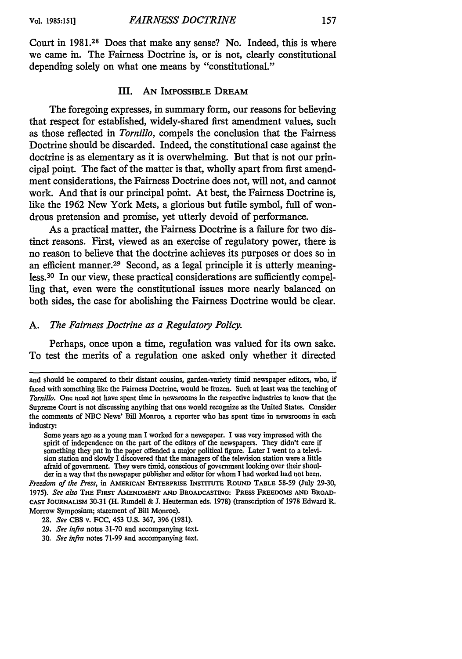Court in **1981.28** Does that make any sense? No. Indeed, this is where we came in. The Fairness Doctrine is, or is not, clearly constitutional depending solely on what one means by "constitutional."

#### III. **AN** IMPOSSIBLE DREAM

The foregoing expresses, in summary form, our reasons for believing that respect for established, widely-shared first amendment values, such as those reflected in *Tornillo,* compels the conclusion that the Fairness Doctrine should be discarded. Indeed, the constitutional case against the doctrine is as elementary as it is overwhelming. But that is not our principal point. The fact of the matter is that, wholly apart from first amendment considerations, the Fairness Doctrine does not, will not, and cannot work. And that is our principal point. At best, the Fairness Doctrine is, like the 1962 New York Mets, a glorious but futile symbol, full of wondrous pretension and promise, yet utterly devoid of performance.

As a practical matter, the Fairness Doctrine is a failure for two distinct reasons. First, viewed as an exercise of regulatory power, there is no reason to believe that the doctrine achieves its purposes or does so in an efficient manner.<sup>29</sup> Second, as a legal principle it is utterly meaningless. 30 In our view, these practical considerations are sufficiently compelling that, even were the constitutional issues more nearly balanced on both sides, the case for abolishing the Fairness Doctrine would be clear.

#### *A. The Fairness Doctrine as a Regulatory Policy.*

Perhaps, once upon a time, regulation was valued for its own sake. To test the merits of a regulation one asked only whether it directed

Some years ago as a young man I worked for a newspaper. I was very impressed with the spirit of independence on the part of the editors of the newspapers. They didn't care if something they pnt in the paper offended a major political figure. Later I went to a television station and slowly I discovered that the managers of the television station were a little afraid of government. They were timid, conscious of government looking over their shoulder in a way that the newspaper publisher and editor for whom I had worked had not been.

*Freedom of the Press,* in **AMERICAN ENTERPRISE INSTITUTE ROUND TABLE** 58-59 (July **29-30,** 1975). *See also* **THE FIRST AMENDMENT AND BROADCASTING: PRESS FREEDOMS AND BROAD-CAST** JOURNALISM 30-31 (H. Rundell **& J.** Heuterman eds. 1978) (transcription of 1978 Edward R. Morrow Symposinm; statement of Bill Monroe).

30. *See infra* notes 71-99 and accompanying text.

and should be compared to their distant cousins, garden-variety timid newspaper editors, who, if faced with something like the Fairness Doctrine, would be frozen. Such at least was the teaching of *Tornillo.* One need not have spent time in newsrooms in the respective industries to know that the Supreme Court is not discussing anything that one would recognize as the United States. Consider the comments of **NBC** News' Bill Monroe, a reporter who has spent time in newsrooms in each industry:

**<sup>28.</sup>** *See* **CBS** v. FCC, 453 U.S. 367, 396 (1981).

**<sup>29.</sup>** *See infra* notes 31-70 and accompanying text.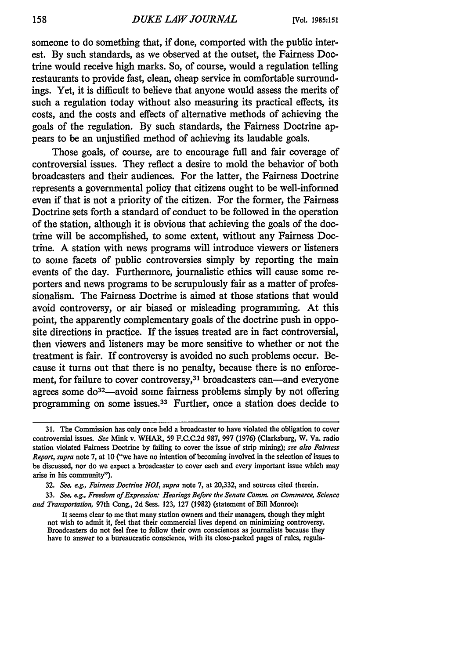someone to do something that, if done, comported with the public interest. By such standards, as we observed at the outset, the Fairness Doctrine would receive high marks. So, of course, would a regulation telling restaurants to provide fast, clean, cheap service in comfortable surroundings. Yet, it is difficult to believe that anyone would assess the merits of such a regulation today without also measuring its practical effects, its costs, and the costs and effects of alternative methods of achieving the goals of the regulation. By such standards, the Fairness Doctrine appears to be an unjustified method of achieving its laudable goals.

Those goals, of course, are to encourage full and fair coverage of controversial issues. They reflect a desire to mold the behavior of both broadcasters and their audiences. For the latter, the Fairness Doctrine represents a governmental policy that citizens ought to be well-informed even if that is not a priority of the citizen. For the former, the Fairness Doctrine sets forth a standard of conduct to be followed in the operation of the station, although it is obvious that achieving the goals of the doctrine will be accomplished, to some extent, without any Fairness Doctrine. A station with news programs will introduce viewers or listeners to some facets of public controversies simply by reporting the main events of the day. Furthermore, journalistic ethics will cause some reporters and news programs to be scrupulously fair as a matter of professionalism. The Fairness Doctrine is aimed at those stations that would avoid controversy, or air biased or misleading programming. At this point, the apparently complementary goals of the doctrine push in opposite directions in practice. If the issues treated are in fact controversial, then viewers and listeners may be more sensitive to whether or not the treatment is fair. If controversy is avoided no such problems occur. Because it turns out that there is no penalty, because there is no enforcement, for failure to cover controversy,<sup>31</sup> broadcasters can—and everyone agrees some do<sup>32</sup>—avoid some fairness problems simply by not offering programming on some issues.33 Further, once a station does decide to

- 32. *See, eg., Fairness Doctrine NOI, supra* note 7, at 20,332, and sources cited therein.
- 33. *See, eg., Freedom of Expression: Hearings Before the Senate Comm. on Commerce, Science and Transportation,* 97th Cong., 2d Sess. 123, 127 (1982) (statement of Bill Monroe):

It seems clear to me that many station owners and their managers, though they might not wish to admit it, feel that their commercial lives depend on minimizing controversy. Broadcasters do not feel free to follow their own consciences as journalists because they have to answer to a bureaucratic conscience, with its close-packed pages of rules, regula-

**<sup>31.</sup>** The Commission has only once held a broadcaster to have violated the obligation to cover controversial issues. *See* Mink v. WHAR, 59 F.C.C.2d 987, 997 (1976) (Clarksburg, W. Va. radio station violated Fairness Doctrine by failing to cover the issue of strip mining); *see also Fairness Report, supra* note 7, at 10 ("we have no intention of becoming involved in the selection of issues to be discussed, nor do we expect a broadcaster to cover each and every important issue which may arise in his community").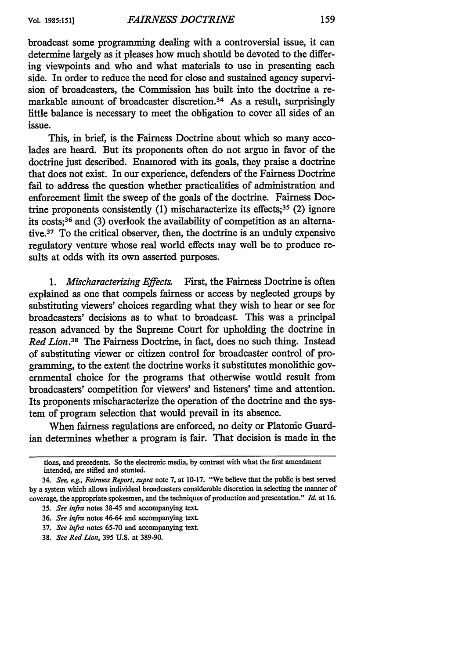broadcast some programming dealing with a controversial issue, it can determine largely as it pleases how much should be devoted to the differing viewpoints and who and what materials to use in presenting each side. In order to reduce the need for close and sustained agency supervision of broadcasters, the Commission has built into the doctrine a remarkable amount of broadcaster discretion.<sup>34</sup> As a result, surprisingly little balance is necessary to meet the obligation to cover all sides of an issue.

This, in brief, is the Fairness Doctrine about which so many accolades are heard. But its proponents often do not argue in favor of the doctrine just described. Enamored with its goals, they praise a doctrine that does not exist. In our experience, defenders of the Fairness Doctrine fail to address the question whether practicalities of administration and enforcement limit the sweep of the goals of the doctrine. Fairness Doctrine proponents consistently  $(1)$  mischaracterize its effects;<sup>35</sup>  $(2)$  ignore its costs; 36 and (3) overlook the availability of competition as an alternative. 37 To the critical observer, then, the doctrine is an unduly expensive regulatory venture whose real world effects may well be to produce results at odds with its own asserted purposes.

*1. Mischaracterizing Effects.* First, the Fairness Doctrine is often explained as one that compels fairness or access by neglected groups by substituting viewers' choices regarding what they wish to hear or see for broadcasters' decisions as to what to broadcast. This was a principal reason advanced by the Supreme Court for upholding the doctrine in *Red Lion.38* The Fairness Doctrine, in fact, does no such thing. Instead of substituting viewer or citizen control for broadcaster control of programming, to the extent the doctrine works it substitutes monolithic governmental choice for the programs that otherwise would result from broadcasters' competition for viewers' and listeners' time and attention. Its proponents mischaracterize the operation of the doctrine and the system of program selection that would prevail in its absence.

When fairness regulations are enforced, no deity or Platonic Guardian determines whether a program is fair. That decision is made in the

tions, and precedents. So the electronic media, **by** contrast with what the first amendment intended, are stifled and stunted.

<sup>34.</sup> *See, eg., Fairness Report, supra* note 7, at 10-17. "We believe that the public is best served by a system which allows individual broadcasters considerable discretion in selecting the manner of coverage, the appropriate spokesmen, and the techniques of production and presentation." *Id.* at 16.

<sup>35.</sup> *See infra* notes 38-45 and accompanying text.

<sup>36.</sup> *See infra* notes 46-64 and accompanying text.

<sup>37.</sup> *See infra* notes 65-70 and accompanying text.

<sup>38.</sup> *See Red Lion,* 395 **U.S.** at 389-90.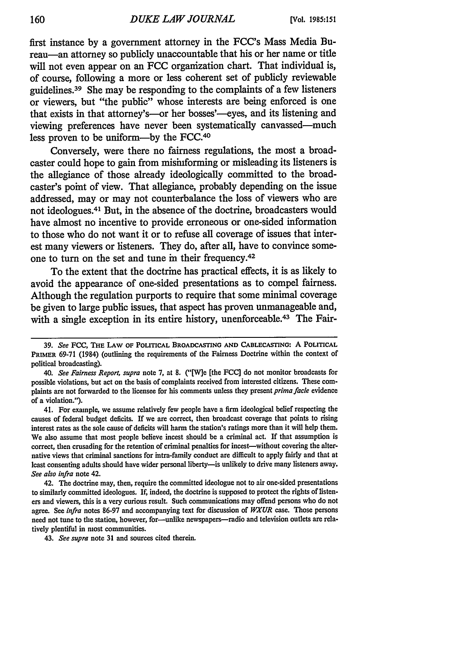first instance **by** a government attorney in the FCC's Mass Media Bureau—an attorney so publicly unaccountable that his or her name or title will not even appear on an FCC organization chart. That individual is, of course, following a more or less coherent set of publicly reviewable guidelines.39 She may be responding to the complaints of a few listeners or viewers, but "the public" whose interests are being enforced is one that exists in that attorney's—or her bosses'—eyes, and its listening and viewing preferences have never been systematically canvassed-much less proven to be uniform-by the **FCC.4°**

Conversely, were there no fairness regulations, the most a broadcaster could hope to gain from misinforming or misleading its listeners is the allegiance of those already ideologically committed to the broadcaster's point of view. That allegiance, probably depending on the issue addressed, may or may not counterbalance the loss of viewers who are not ideologues. 41 But, in the absence of the doctrine, broadcasters would have almost no incentive to provide erroneous or one-sided information to those who do not want it or to refuse all coverage of issues that interest many viewers or listeners. They do, after all, have to convince someone to turn on the set and tune in their frequency.<sup>42</sup>

To the extent that the doctrine has practical effects, it is as likely to avoid the appearance of one-sided presentations as to compel fairness. Although the regulation purports to require that some minimal coverage be given to large public issues, that aspect has proven unmanageable and, with a single exception in its entire history, unenforceable.<sup>43</sup> The Fair-

41. For example, we assume relatively few people have a firm ideological belief respecting the causes of federal budget deficits. If we are correct, then broadcast coverage that points to rising interest rates as the sole cause of deficits will harm the station's ratings more than it will help them. We also assume that most people believe incest should be a criminal act. **If** that assumption is correct, then crusading for the retention of criminal penalties for incest-without covering the alternative views that criminal sanctions for intra-family conduct are difficult to apply fairly and that at least consenting adults should have wider personal liberty-is unlikely to drive many listeners away. *See also infra* note 42.

42. The doctrine may, then, require the committed ideologue not to air one-sided presentations to similarly committed ideologues. If, indeed, the doctrine is supposed to protect the rights of listeners and viewers, this is a very curious result. Such communications may offend persons who do not agree. See *infra* notes 86-97 and accompanying text for discussion of *WXUR* case. Those persons need not tune to the station, however, for-unlike newspapers-radio and television outlets are relatively plentiful in most communities.

43. *See supra* note 31 and sources cited therein.

**<sup>39.</sup>** *See* **FCC, THE LAW OF POLITICAL BROADCASTING AND CABLECASTING:** A **POLITICAL PRIMER 69-71** (1984) (outlining the requirements of the Fairness Doctrine within the context of political broadcasting).

*<sup>40.</sup> See Fairness Report, supra* note 7, at 8. ("[W]e [the **FCC]** do not monitor broadcasts for possible violations, but act on the basis of complaints received from interested citizens. These complaints are not forwarded to the licensee for his comments unless they present *prima facie* evidence of a violation.").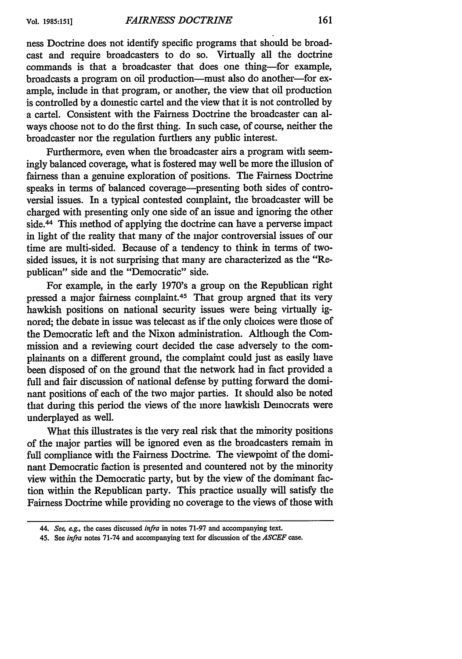ness Doctrine does not identify specific programs that should be broadcast and require broadcasters to do so. Virtually all the doctrine commands is that a broadcaster that does one thing-for example, broadcasts a program on oil production-must also do another-for example, include in that program, or another, the view that oil production is controlled by a domestic cartel and the view that it is not controlled by a cartel. Consistent with the Fairness Doctrine the broadcaster can always choose not to do the first thing. In such case, of course, neither the broadcaster nor the regulation furthers any public interest.

Furthermore, even when the broadcaster airs a program with seemingly balanced coverage, what is fostered may well be more the illusion of fairness than a genuine exploration of positions. The Fairness Doctrine speaks in terms of balanced coverage-presenting both sides of controversial issues. In a typical contested complaint, the broadcaster will be charged with presenting only one side of an issue and ignoring the other side.<sup>44</sup> This method of applying the doctrine can have a perverse impact in light of the reality that many of the major controversial issues of our time are multi-sided. Because of a tendency to think in terms of twosided issues, it is not surprising that many are characterized as the "Republican" side and the "Democratic" side.

For example, in the early 1970's a group on the Republican right pressed a major fairness complaint.<sup>45</sup> That group argned that its very hawkish positions on national security issues were being virtually ignored; the debate in issue was telecast as if the only choices were those of the Democratic left and the Nixon administration. Although the Commission and a reviewing court decided the case adversely to the complainants on a different ground, the complaint could just as easily have been disposed of on the ground that the network had in fact provided a full and fair discussion of national defense by putting forward the dominant positions of each of the two major parties. It should also be noted that during this period the views of the more hawkish Democrats were underplayed as well.

What this illustrates is the very real risk that the minority positions of the major parties will be ignored even as the broadcasters remain in full compliance with the Fairness Doctrine. The viewpoint of the dominant Democratic faction is presented and countered not by the minority view within the Democratic party, but by the view of the dominant faction within the Republican party. This practice usually will satisfy the Fairness Doctrine while providing no coverage to the views of those with

*<sup>44.</sup> See, eg.,* the cases discussed *infra* in notes 71-97 and accompanying text.

<sup>45.</sup> See *infra* notes 71-74 and accompanying text for discussion of the *ASCEF* case.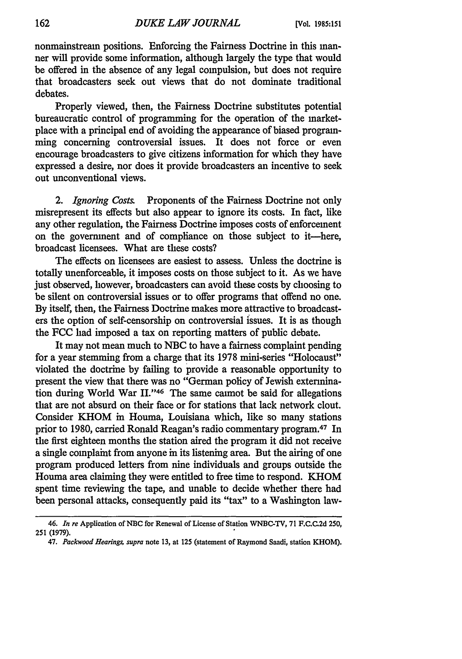nonmainstream positions. Enforcing the Fairness Doctrine in this manner will provide some information, although largely the type that would be offered in the absence of any legal compulsion, but does not require that broadcasters seek out views that do not dominate traditional debates.

Properly viewed, then, the Fairness Doctrine substitutes potential bureaucratic control of programming for the operation of the marketplace with a principal end of avoiding the appearance of biased programming concerning controversial issues. It does not force or even encourage broadcasters to give citizens information for which they have expressed a desire, nor does it provide broadcasters an incentive to seek out unconventional views.

*2. Ignoring Costs.* Proponents of the Fairness Doctrine not only misrepresent its effects but also appear to ignore its costs. In fact, like any other regulation, the Fairness Doctrine imposes costs of enforcement on the government and of compliance on those subject to it-here, broadcast licensees. What are these costs?

The effects on licensees are easiest to assess. Unless the doctrine is totally unenforceable, it imposes costs on those subject to it. As we have just observed, however, broadcasters can avoid these costs by choosing to be silent on controversial issues or to offer programs that offend no one. **By** itself, then, the Fairness Doctrine makes more attractive to broadcasters the option of self-censorship on controversial issues. It is as though the FCC had imposed a tax on reporting matters of public debate.

It may not mean much to **NBC** to have a fairness complaint pending for a year stemming from a charge that its 1978 mini-series "Holocaust" violated the doctrine by failing to provide a reasonable opportunity to present the view that there was no "German policy of Jewish extermination during World War II."<sup>46</sup> The same caimot be said for allegations that are not absurd on their face or for stations that lack network clout. Consider KHOM in Houma, Louisiana which, like so many stations prior to 1980, carried Ronald Reagan's radio commentary program.<sup>47</sup> In the first eighteen months the station aired the program it did not receive a single complaint from anyone in its listening area. But the airing of one program produced letters from nine individuals and groups outside the Houma area claiming they were entitled to free time to respond. KHOM spent time reviewing the tape, and unable to decide whether there had been personal attacks, consequently paid its "tax" to a Washington law-

<sup>46.</sup> *In re* Application of **NBC** for Renewal of License of Station WNBC-TV, **71 F.C.C.2d** 250, 251 (1979).

<sup>47.</sup> *Packwood Hearings, supra* note **13,** at 125 (statement of Raymond Saadi, station KHOM).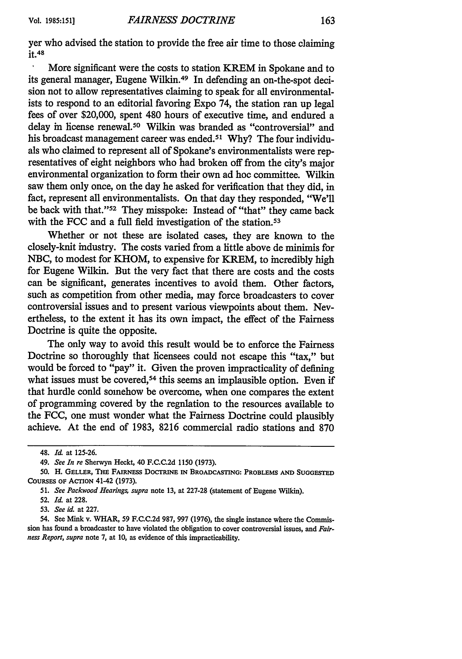yer who advised the station to provide the free air time to those claiming it.48

More significant were the costs to station KREM in Spokane and to its general manager, Eugene Wilkin.49 In defending an on-the-spot decision not to allow representatives claiming to speak for all environmentalists to respond to an editorial favoring Expo 74, the station ran up legal fees of over \$20,000, spent 480 hours of executive time, and endured a delay in license renewal.50 Wilkin was branded as "controversial" and his broadcast management career was ended.<sup>51</sup> Why? The four individuals who claimed to represent all of Spokane's environmentalists were representatives of eight neighbors who had broken off from the city's major environmental organization to form their own ad hoe committee. Wilkin saw them only once, on the day he asked for verification that they did, in fact, represent all environmentalists. On that day they responded, "We'll be back with that."<sup>52</sup> They misspoke: Instead of "that" they came back with the FCC and a full field investigation of the station.<sup>53</sup>

Whether or not these are isolated cases, they are known to the closely-knit industry. The costs varied from a little above de minimis for NBC, to modest for KHOM, to expensive for KREM, to incredibly high for Eugene Wilkin. But the very fact that there are costs and the costs can be significant, generates incentives to avoid them. Other factors, such as competition from other media, may force broadcasters to cover controversial issues and to present various viewpoints about them. Nevertheless, to the extent it has its own impact, the effect of the Fairness Doctrine is quite the opposite.

The only way to avoid this result would be to enforce the Fairness Doctrine so thoroughly that licensees could not escape this "tax," but would be forced to "pay" it. Given the proven impracticality of defining what issues must be covered,<sup>54</sup> this seems an implausible option. Even if that hurdle conld somehow be overcome, when one compares the extent of programming covered by the regulation to the resources available to the FCC, one must wonder what the Fairness Doctrine could plausibly achieve. At the end of 1983, 8216 commercial radio stations and 870

<sup>48.</sup> *Id.* at 125-26.

<sup>49.</sup> *See In re* Sherwyn Heckt, 40 F.C.C.2d 1150 (1973).

**<sup>50.</sup>** H. **GELLER, THE FAIRNESS DOCTRINE IN BROADCASTING: PROBLEMS AND SUGGESTED COURSES OF ACTION** 41-42 **(1973).**

**<sup>51.</sup>** *See Packwood Hearings, supra* note **13,** at **227-28** (statement of Eugene Wilkin).

**<sup>52.</sup>** *Id.* at **228.**

**<sup>53.</sup>** *See id.* at **227.**

<sup>54.</sup> See Mink v. WHAR, **59 F.C.C.2d 987, 997 (1976),** the single instance where the Commission has found a broadcaster to have violated the obligation to cover controversial issues, and *Fairness Report, supra* note **7,** at **10,** as evidence of this impracticability.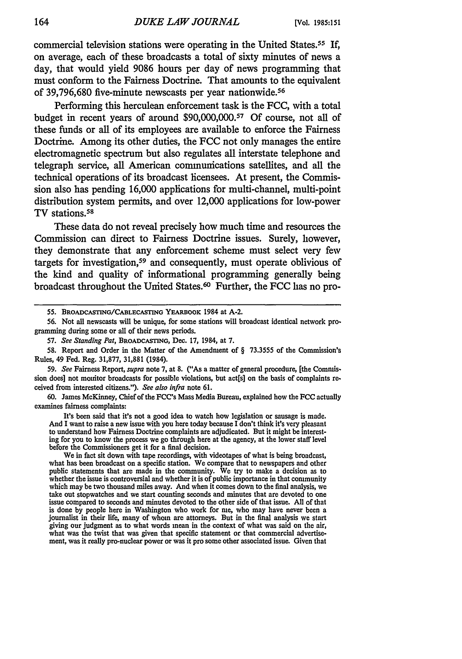commercial television stations were operating in the United States. <sup>55</sup>**If,** on average, each of these broadcasts a total of sixty minutes of news a day, that would yield **9086** hours per day of news programming that must conform to the Fairness Doctrine. That amounts to the equivalent of **39,796,680** five-minute newscasts per year nationwide.<sup>56</sup>

Performing this herculean enforcement task is the **FCC,** with a total budget in recent years of around **\$90,000,000. 57 Of** course, not all of these funds or all of its employees are available to enforce the Fairness Doctrine. Among its other duties, the **FCC** not only manages the entire electromagnetic spectrum but also regulates all interstate telephone and telegraph service, all American communications satellites, and all the technical operations of its broadcast licensees. At present, the Commission also has pending **16,000** applications for multi-channel, multi-point distribution system permits, and over 12,000 applications for low-power TV stations. <sup>58</sup>

These data do not reveal precisely how much time and resources the Commission can direct to Fairness Doctrine issues. Surely, however, they demonstrate that any enforcement scheme must select very few targets for investigation, 59 and consequently, must operate oblivious of the kind and quality of informational programming generally being broadcast throughout the United States. 6° Further, the **FCC** has no pro-

59. *See* Fairness Report, *supra* note **7,** at 8. ("As a matter of general procedure, [the Commission does] not monitor broadcasts for possible violations, but act[s] on the basis of complaints received from interested citizens."). *See also infra* note 61.

**60.** James McKinney, Chief of the FCC's Mass Media Bureau, explained how the FCC actually examines fairness complaints:

It's been said that it's not a good idea to watch how legislation or sausage is made. And I want to raise a new issue with you here today because I don't think it's very pleasant to understand how Fairness Doctrine complaints are adjudicated. But it might be interesting for you to know the process we go through here at the agency, at the lower staff level before the Commissioners get it for a final decision.

We in fact sit down with tape recordings, with videotapes of what is being broadcast, what has been broadcast on a specific station. We compare that to newspapers and other public statements that are made in the community. We try to make a decision as to whether the issue is controversial and whether it is of public importance in that community which may be two thousand miles away. And when it comes down to the final analysis, we take out stopwatches and we start counting seconds and minutes that are devoted to one issue compared to seconds and minutes devoted to the other side of that issue. All of that is done by people here in Washington who work for me, who may have never been a journalist in their life, many of whom are attorneys. But in the final analysis we start giving our judgment as to what words mean in the context of what was said on the air, what was the twist that was given that specific statement or that commercial advertisement, was it really pro-nuclear power or was it pro some other associated issue. Given that

**<sup>55.</sup>** BROADCASTING/CABLECASTING YEARBOOK 1984 at **A-2.**

**<sup>56.</sup>** Not all newscasts will be unique, for some stations **will** broadcast identical network programming during some or all of their news periods.

**<sup>57.</sup>** *See Standing Pat,* **BROADCASTING,** Dec. **17,** 1984, at **7.**

<sup>58.</sup> Report and Order in the Matter of the Amendment of § 73.3555 of the Commission's Rules, 49 Fed. Reg. 31,877, 31,881 (1984).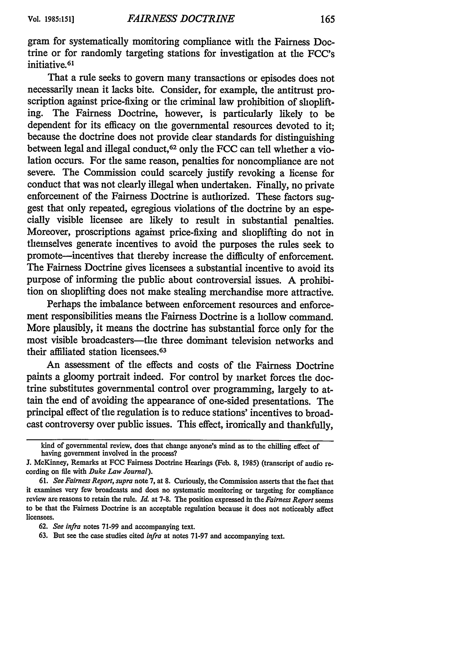gram for systematically monitoring compliance with the Fairness Doctrine or for randomly targeting stations for investigation at the FCC's initiative.<sup>61</sup>

That a rule seeks to govern many transactions or episodes does not necessarily mean it lacks bite. Consider, for example, the antitrust proscription against price-fixing or the criminal law prohibition of shoplifting. The Fairness Doctrine, however, is particularly likely to be dependent for its efficacy on the governmental resources devoted to it; because the doctrine does not provide clear standards for distinguishing between legal and illegal conduct, 62 only the FCC can tell whether a violation occurs. For the same reason, penalties for noncompliance are not severe. The Commission could scarcely justify revoking a license for conduct that was not clearly illegal when undertaken. Finally, no private enforcement of the Fairness Doctrine is authorized. These factors suggest that only repeated, egregious violations of the doctrine by an especially visible licensee are likely to result in substantial penalties. Moreover, proscriptions against price-fixing and shoplifting do not in themselves generate incentives to avoid the purposes the rules seek to promote-incentives that thereby increase the difficulty of enforcement. The Fairness Doctrine gives licensees a substantial incentive to avoid its purpose of informing the public about controversial issues. A prohibition on shoplifting does not make stealing merchandise more attractive.

Perhaps the imbalance between enforcement resources and enforcement responsibilities means the Fairness Doctrine is a hollow command. More plausibly, it means the doctrine has substantial force only for the most visible broadcasters-the three dominant television networks and their affiliated station licensees.<sup>63</sup>

An assessment of the effects and costs of the Fairness Doctrine paints a gloomy portrait indeed. For control by market forces the doctrine substitutes governmental control over programming, largely to attain the end of avoiding the appearance of one-sided presentations. The principal effect of the regulation is to reduce stations' incentives to broadcast controversy over public issues. This effect, ironically and thankfully,

kind of governmental review, does that change anyone's mind as to the chilling effect of having government involved in the process?

J. McKinney, Remarks at FCC Fairness Doctrine Hearings (Feb. 8, 1985) (transcript of audio recording on file with *Duke Law Journal).*

<sup>61.</sup> *See Fairness Report, supra* note 7, at 8. Curiously, the Commission asserts that the fact that it examines very few broadcasts and does no systematic monitoring or targeting for compliance review are reasons to retain the rule. *Id.* at 7-8. The position expressed in the *Fairness Report* seems to be that the Fairness Doctrine is an acceptable regulation because it does not noticeably affect licensees.

<sup>62.</sup> *See infra* notes 71-99 and accompanying text.

<sup>63.</sup> But see the case studies cited *infra* at notes 71-97 and accompanying text.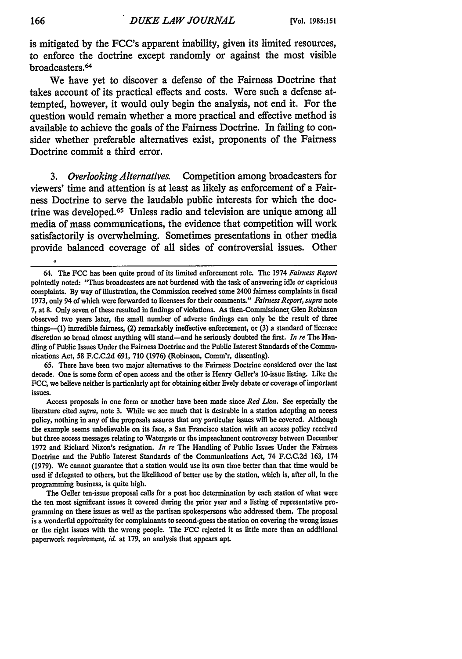is mitigated **by** the FCC's apparent inability, given its limited resources, to enforce the doctrine except randomly or against the most visible broadcasters.<sup>64</sup>

We have yet to discover a defense of the Fairness Doctrine that takes account of its practical effects and costs. Were such a defense attempted, however, it would only begin the analysis, not end it. For the question would remain whether a more practical and effective method is available to achieve the goals of the Fairness Doctrine. In failing to consider whether preferable alternatives exist, proponents of the Fairness Doctrine commit a third error.

*3. Overlooking Alternatives.* Competition among broadcasters for viewers' time and attention is at least as likely as enforcement of a Fairness Doctrine to serve the laudable public interests for which the doctrine was developed.<sup>65</sup> Unless radio and television are unique among all media of mass communications, the evidence that competition will work satisfactorily is overwhelming. Sometimes presentations in other media provide balanced coverage of all sides of controversial issues. Other

**65.** There have been two major alternatives to the Fairness Doctrine considered over the last decade. One is some form of open access and the other is Henry Geller's 10-issue listing. Like the **FCC,** we believe neither is particularly apt for obtaining either lively debate or coverage of important issues.

Access proposals in one form or another have been made since *Red Lion.* See especially the literature cited *supra,* note **3.** While we see much that is desirable in a station adopting an access policy, nothing in any of the proposals assures that any particular issues will be covered. Although the example seems unbelievable on its face, a San Francisco station with an access policy received but three access messages relating to Watergate or the impeachment controversy between December **1972** and Richard Nixon's resignation. *In re* The Handling of Public Issues Under the Fairness Doctrine and the Public Interest Standards of the Communications Act, 74 **F.C.C.2d 163,** 174 **(1979).** We cannot guarantee that a station would use its own time better than that time would **be** used if delegated to others, but the likelihood of better use **by** the station, which is, after all, in the programming business, is quite high.

The Geller ten-issue proposal calls for a post hoc determination **by** each station of what were the ten most significant issues it covered during the prior year and a listing of representative programming on these issues as well as the partisan spokespersons who addressed them. The proposal is a wonderful opportunity for complainants to second-guess the station on covering the wrong issues or the right issues with the wrong people. The **FCC** rejected it as little more than an additional paperwork requirement, *id.* at 179, an analysis that appears apt.

<sup>64.</sup> The **FCC** has been quite proud of its limited enforcement role. The 1974 *Fairness Report* pointedly noted: "Thus broadcasters are not burdened with the task of answering idle or capricious complaints. **By** way of illustration, the Commission received some 2400 fairness complaints in fiscal **1973,** only 94 of which were forwarded to licensees for their comments." *Fairness Report, supra* note **7,** at **8.** Only seven of these resulted in findings of violations. As then-Commissioner Glen Robinson observed two years later, the small number of adverse findings can only be the result of three things-(l) incredible fairness, (2) remarkably ineffective enforcement, or **(3)** a standard of licensee discretion so broad almost anything **will** stand-and he seriously doubted the first. *In re* The Handling of Public Issues Under the Fairness Doctrine and the Public Interest Standards of the Communications Act, **58 F.C.C.2d 691, 710 (1976)** (Robinson, Comm'r, dissenting).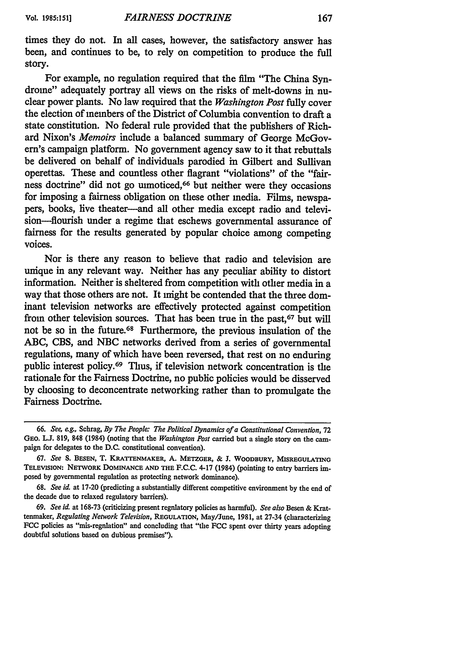times they do not. In all cases, however, the satisfactory answer has been, and continues to be, to rely on competition to produce the full story.

For example, no regulation required that the film "The China Syndrome" adequately portray all views on the risks of melt-downs in nuclear power plants. No law required that the *Washington Post* fully cover the election of members of the District of Columbia convention to draft a state constitution. No federal rule provided that the publishers of Richard Nixon's *Memoirs* include a balanced summary of George McGovern's campaign platform. No government agency saw to it that rebuttals be delivered on behalf of individuals parodied in Gilbert and Sullivan operettas. These and countless other flagrant "violations" of the "fairness doctrine" did not go unnoticed,66 but neither were they occasions for imposing a fairness obligation on these other media. Films, newspapers, books, live theater-and all other media except radio and television-flourish under a regime that eschews governmental assurance of fairness for the results generated by popular choice among competing voices.

Nor is there any reason to believe that radio and television are unique in any relevant way. Neither has any peculiar ability to distort information. Neither is sheltered from competition with other media in a way that those others are not. It might be contended that the three dominant television networks are effectively protected against competition from other television sources. That has been true in the past,<sup>67</sup> but will not be so in the future.68 Furthermore, the previous insulation of the ABC, CBS, and NBC networks derived from a series of governmental regulations, many of which have been reversed, that rest on no enduring public interest policy.<sup>69</sup> Thus, if television network concentration is the rationale for the Fairness Doctrine, no public policies would be disserved by choosing to deconcentrate networking rather than to promulgate the Fairness Doctrine.

*<sup>66.</sup> See, eg.,* Schrag, *By The People: The Political Dynamics of a Constitutional Convention,* 72 GEo. *L.J* **819, 848** (1984) (noting that the *Washington Post* carried but a single story on the campaign for delegates to the D.C. constitutional convention).

*<sup>67.</sup> See* **S. BESEN, T.** KRATTENMAKER, **A. METZGER, & J.** WOODBURY, **MISREGULATING** TELEVISION: NETwoRK DOMINANCE **AND** THE **F.C.C.** 4-17 (1984) (pointing to entry barriers imposed **by** governmental regulation as protecting network dominance).

**<sup>68.</sup>** *See id.* at **17-20** (predicting a substantially different competitive environment **by** the end of the decade due to relaxed regulatory barriers).

**<sup>69.</sup>** *See id.* at **168-73** (criticizing present regulatory policies as harmful). *See also* Besen **&** Krattenmaker, *Regulating Network Television,* REGULATION, May/June, **1981,** at 27-34 (characterizing FCC policies as "mis-regnlation" and concluding that "the FCC spent over thirty years adopting doubtful solutions based on dubious premises").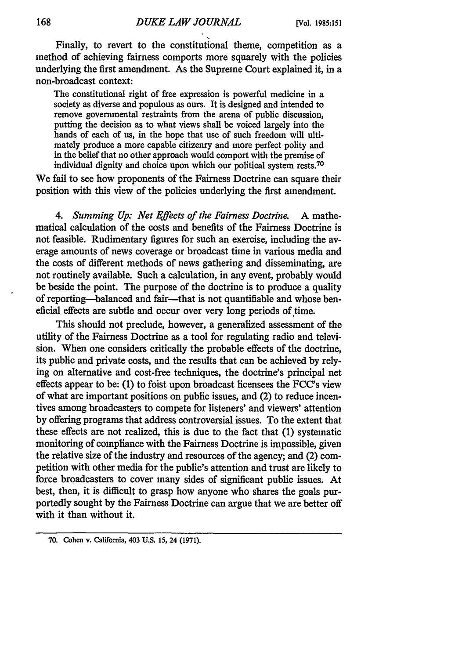Finally, to revert to the constitutional theme, competition as a method of achieving fairness comports more squarely with the policies underlying the first amendment. As the Supreme Court explained it, in a non-broadcast context:

The constitutional right of free expression is powerful medicine in a society as diverse and populous as ours. It is designed and intended to remove governmental restraints from the arena of public discussion, putting the decision as to what views shall be voiced largely into the hands of each of us, in the hope that use of such freedom will ultimately produce a more capable citizenry and more perfect polity and in the belief that no other approach would comport with the premise of individual dignity and choice upon which our political system rests.70

We fail to see how proponents of the Fairness Doctrine can square their position with this view of the policies underlying the first amendment.

*4. Summing Up: Net Effects of the Fairness Doctrine.* A mathematical calculation of the costs and benefits of the Fairness Doctrine is not feasible. Rudimentary figures for such an exercise, including the average amounts of news coverage or broadcast time in various media and the costs of different methods of news gathering and disseminating, are not routinely available. Such a calculation, in any event, probably would be beside the point. The purpose of the doctrine is to produce a quality of reporting-balanced and fair-that is not quantifiable and whose beneficial effects are subtle and occur over very long periods of time.

This should not preclude, however, a generalized assessment of the utility of the Fairness Doctrine as a tool for regulating radio and television. When one considers critically the probable effects of the doctrine, its public and private costs, and the results that can be achieved by relying on alternative and cost-free techniques, the doctrine's principal net effects appear to be: (1) to foist upon broadcast licensees the FCC's view of what are important positions on public issues, and (2) to reduce incentives among broadcasters to compete for listeners' and viewers' attention by offering programs that address controversial issues. To the extent that these effects are not realized, this is due to the fact that (1) systematic monitoring of compliance with the Fairness Doctrine is impossible, given the relative size of the industry and resources of the agency; and (2) competition with other media for the public's attention and trust are likely to force broadcasters to cover many sides of significant public issues. At best, then, it is difficult to grasp how anyone who shares the goals purportedly sought by the Fairness Doctrine can argue that we are better off with it than without it.

**<sup>70.</sup>** Cohen v. California, 403 **U.S. 15,** 24 **(1971).**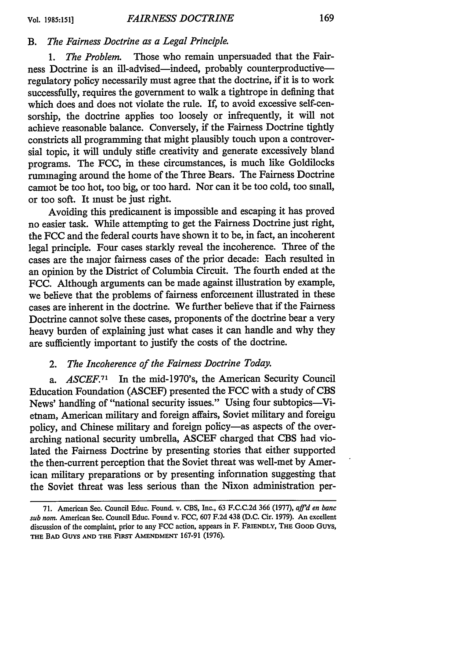## *B. The Fairness Doctrine as a Legal Principle.*

*1. The Problem.* Those who remain unpersuaded that the Fairness Doctrine is an ill-advised-indeed, probably counterproductiveregulatory policy necessarily must agree that the doctrine, if it is to work successfully, requires the government to walk a tightrope in defining that which does and does not violate the rule. If, to avoid excessive self-censorship, the doctrine applies too loosely or infrequently, it will not achieve reasonable balance. Conversely, if the Fairness Doctrine tightly constricts all programming that might plausibly touch upon a controversial topic, it will unduly stifle creativity and generate excessively bland programs. The FCC, in these circumstances, is much like Goldilocks rummaging around the home of the Three Bears. The Fairness Doctrine cannot be too hot, too big, or too hard. Nor can it be too cold, too small, or too soft. It must be just right.

Avoiding this predicament is impossible and escaping it has proved no easier task. While attempting to get the Fairness Doctrine just right, the FCC and the federal courts have shown it to be, in fact, an incoherent legal principle. Four cases starkly reveal the incoherence. Three of the cases are the major fairness cases of the prior decade: Each resulted in an opinion by the District of Columbia Circuit. The fourth ended at the FCC. Although arguments can be made against illustration by example, we believe that the problems of fairness enforcement illustrated in these cases are inherent in the doctrine. We further believe that if the Fairness Doctrine cannot solve these cases, proponents of the doctrine bear a very heavy burden of explaining just what cases it can handle and why they are sufficiently important to justify the costs of the doctrine.

## *2. The Incoherence of the Fairness Doctrine Today.*

*a. ASCEF.71* In the mid-1970's, the American Security Council Education Foundation (ASCEF) presented the FCC with a study of CBS News' handling of "national security issues." Using four subtopics-Vietnam, American military and foreign affairs, Soviet military and foreign policy, and Chinese military and foreign policy-as aspects of the overarching national security umbrella, ASCEF charged that CBS had violated the Fairness Doctrine by presenting stories that either supported the then-current perception that the Soviet threat was well-met by American military preparations or by presenting information suggesting that the Soviet threat was less serious than the Nixon administration per-

<sup>71.</sup> American Sec. Council Educ. Found. v. CBS, Inc., 63 F.C.C.2d 366 (1977), *affid en banc sub nom.* American Sec. Council Educ. Found v. FCC, 607 F.2d 438 (D.C. Cir. 1979). An excellent discussion of the complaint, prior to any **FCC** action, appears in F. **FRIENDLY, THE GOOD** Guys, **THE BAD GUYS AND THE** FIRsr **AMENDMENT** 167-91 **(1976).**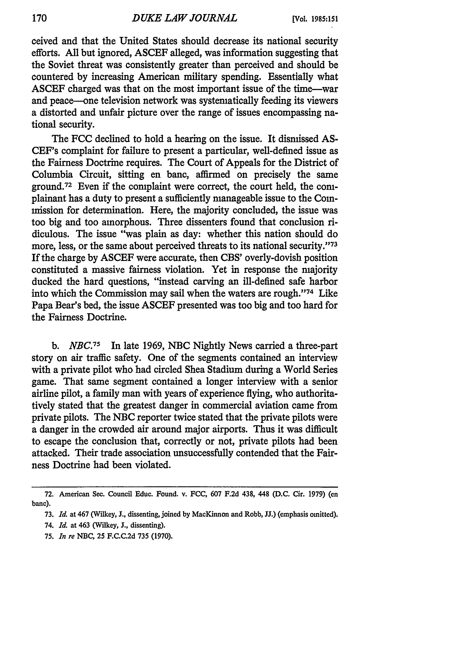ceived and that the United States should decrease its national security efforts. All but ignored, ASCEF alleged, was information suggesting that the Soviet threat was consistently greater than perceived and should be countered by increasing American military spending. Essentially what ASCEF charged was that on the most important issue of the time-war and peace--one television network was systematically feeding its viewers a distorted and unfair picture over the range of issues encompassing national security.

The FCC declined to hold a hearing on the issue. It dismissed AS-CEF's complaint for failure to present a particular, well-defined issue as the Fairness Doctrine requires. The Court of Appeals for the District of Columbia Circuit, sitting en banc, affirmed on precisely the same ground.72 Even if the complaint were correct, the court held, the complainant has a duty to present a sufficiently manageable issue to the Commission for determination. Here, the majority concluded, the issue was too big and too amorphous. Three dissenters found that conclusion ridiculous. The issue "was plain as day: whether this nation should do more, less, or the same about perceived threats to its national security."<sup>73</sup> If the charge by ASCEF were accurate, then CBS' overly-dovish position constituted a massive fairness violation. Yet in response the majority ducked the hard questions, "instead carving an ill-defined safe harbor into which the Commission may sail when the waters are rough."'74 Like Papa Bear's bed, the issue ASCEF presented was too big and too hard for the Fairness Doctrine.

*b. NBC.75* In late 1969, NBC Nightly News carried a three-part story on air traffic safety. One of the segments contained an interview with a private pilot who had circled Shea Stadium during a World Series game. That same segment contained a longer interview with a senior airline pilot, a family man with years of experience flying, who authoritatively stated that the greatest danger in commercial aviation came from private pilots. The NBC reporter twice stated that the private pilots were a danger in the crowded air around major airports. Thus it was difficult to escape the conclusion that, correctly or not, private pilots had been attacked. Their trade association unsuccessfully contended that the Fairness Doctrine had been violated.

**<sup>72.</sup>** American Sec. Council Educ. Found. v. **FCC,** 607 **F.2d** 438, 448 **(D.C.** Cir. **1979) (en** banc).

**<sup>73.</sup>** *Id.* at 467 (Wilkey, **J.,** dissenting, joined **by** MacKinnon and Robb, **JJ.)** (emphasis omitted).

<sup>74.</sup> *Id.* at 463 (Wilkey, **J.,** dissenting).

**<sup>75.</sup>** *In re* **NBC, 25 F.C.C.2d 735 (1970).**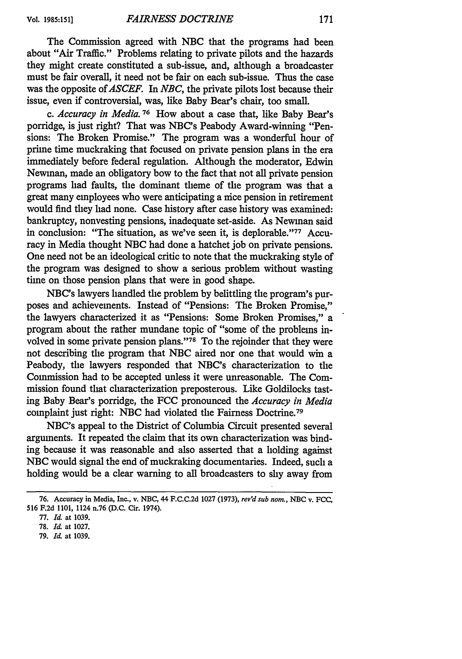The Commission agreed with **NBC** that the programs had been about "Air Traffic." Problems relating to private pilots and the hazards they might create constituted a sub-issue, and, although a broadcaster must be fair overall, it need not be fair on each sub-issue. Thus the case was the opposite of *ASCEF.* In *NBC,* the private pilots lost because their issue, even if controversial, was, like Baby Bear's chair, too small.

*c. Accuracy in Media.* **76** How about a case that, like Baby Bear's porridge, is just right? That was NBC's Peabody Award-winning "Pensions: The Broken Promise." The program was a wonderful hour of prime time muckraking that focused on private pension plans in the era immediately before federal regulation. Although the moderator, Edwin Newman, made an obligatory bow to the fact that not all private pension programs had faults, the dominant theme of the program was that a great many employees who were anticipating a nice pension in retirement would find they had none. Case history after case history was examined: bankruptcy, nonvesting pensions, inadequate set-aside. As Newman said in conclusion: "The situation, as we've seen it, is deplorable."77 Accuracy in Media thought NBC had done a hatchet job on private pensions. One need not be an ideological critic to note that the muckraking style of the program was designed to show a serious problem without wasting time on those pension plans that were in good shape.

NBC's lawyers handled the problem by belittling the program's purposes and achievements. Instead of "Pensions: The Broken Promise," the lawyers characterized it as "Pensions: Some Broken Promises," a program about the rather mundane topic of "some of the problems involved in some private pension plans."<sup>78</sup> To the rejoinder that they were not describing the program that NBC aired nor one that would win a Peabody, the lawyers responded that NBC's characterization to the Commission had to be accepted unless it were unreasonable. The Commission found that characterization preposterous. Like Goldilocks tasting Baby Bear's porridge, the FCC pronounced the *Accuracy in Media* complaint just right: NBC had violated the Fairness Doctrine. <sup>79</sup>

NBC's appeal to the District of Columbia Circuit presented several arguments. It repeated the claim that its own characterization was binding because it was reasonable and also asserted that a holding against NBC would signal the end of muckraking documentaries. Indeed, such a holding would be a clear warning to all broadcasters to shy away from

<sup>76.</sup> Accuracy in Media, Inc., v. **NBC,** 44 **F.C.C.2d 1027 (1973),** *rey'd sub norm.,* **NBC** v. **FCC, 516 F.2d 1101,** 1124 n.76 **(D.C.** Cir. 1974).

**<sup>77.</sup>** *Id* at **1039.**

**<sup>78.</sup>** *Id.* at **1027.**

**<sup>79.</sup>** *Id.* at **1039.**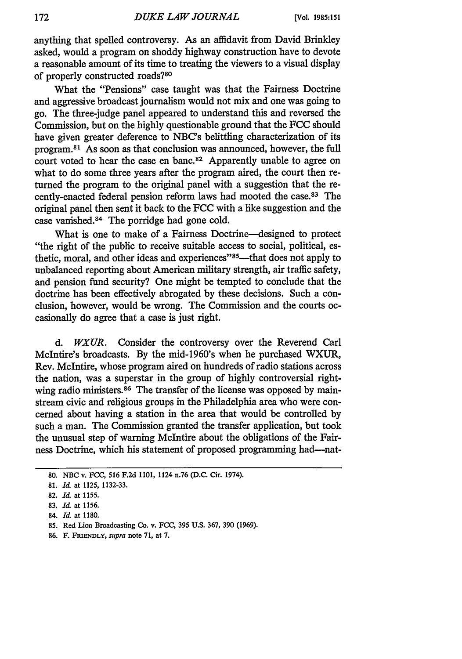anything that spelled controversy. As an affidavit from David Brinkley asked, would a program on shoddy highway construction have to devote a reasonable amount of its time to treating the viewers to a visual display of properly constructed roads?<sup>80</sup>

What the "Pensions" case taught was that the Fairness Doctrine and aggressive broadcast journalism would not mix and one was going to go. The three-judge panel appeared to understand this and reversed the Commission, but on the highly questionable ground that the FCC should have given greater deference to NBC's belittling characterization of its program. 81 As soon as that conclusion was announced, however, the full court voted to hear the case en banc.<sup>82</sup> Apparently unable to agree on what to do some three years after the program aired, the court then returned the program to the original panel with a suggestion that the recently-enacted federal pension reform laws had mooted the case. 83 The original panel then sent it back to the FCC with a like suggestion and the case vanished.<sup>84</sup> The porridge had gone cold.

What is one to make of a Fairness Doctrine-designed to protect "the right of the public to receive suitable access to social, political, esthetic, moral, and other ideas and experiences"85—that does not apply to unbalanced reporting about American military strength, air traffic safety, and pension fund security? One might be tempted to conclude that the doctrine has been effectively abrogated by these decisions. Such a conclusion, however, would be wrong. The Commission and the courts occasionally do agree that a case is just right.

*d. WXUR.* Consider the controversy over the Reverend Carl McIntire's broadcasts. By the mid-1960's when he purchased WXUR, Rev. McIntire, whose program aired on hundreds of radio stations across the nation, was a superstar in the group of highly controversial rightwing radio ministers.<sup>86</sup> The transfer of the license was opposed by mainstream civic and religious groups in the Philadelphia area who were concerned about having a station in the area that would be controlled by such a man. The Commission granted the transfer application, but took the unusual step of warning McIntire about the obligations of the Fairness Doctrine, which his statement of proposed programming had-nat-

**86.** F. **FRIENDLY,** *supra* note **71,** at **7.**

<sup>80.</sup> NBC v. **FCC, 516 F.2d 1101,** 1124 n.76 **(D.C.** Cir. 1974).

<sup>81.</sup> *Id.* at **1125, 1132-33.**

<sup>82.</sup> *Id.* at **1155.**

<sup>83.</sup> *Id.* at **1156.**

<sup>84.</sup> *Id.* at **1180.**

<sup>85.</sup> Red Lion Broadcasting Co. v. **FCC,** 395 U.S. 367, 390 (1969).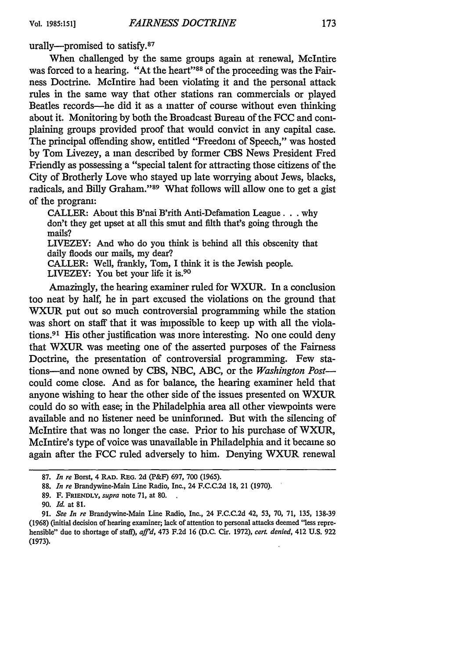urally---promised to satisfy.<sup>87</sup>

When challenged by the same groups again at renewal, McIntire was forced to a hearing. "At the heart"<sup>88</sup> of the proceeding was the Fairness Doctrine. McIntire had been violating it and the personal attack rules in the same way that other stations ran commercials or played Beatles records-he did it as a matter of course without even thinking about it. Monitoring by both the Broadcast Bureau of the FCC and complaining groups provided proof that would convict in any capital case. The principal offending show, entitled "Freedom of Speech," was hosted by Tom Livezey, a man described by former CBS News President Fred Friendly as possessing a "special talent for attracting those citizens of the City of Brotherly Love who stayed up late worrying about Jews, blacks, radicals, and Billy Graham."<sup>89</sup> What follows will allow one to get a gist of the program:

CALLER: About this B'nai B'rith Anti-Defamation League **...** why don't they get upset at all this smut and filth that's going through the mails?

LIVEZEY: And who do you think is behind all this obscenity that daily floods our mails, my dear?

CALLER: Well, frankly, Tom, I think it is the Jewish people. LIVEZEY: You bet your life it is.<sup>90</sup>

Amazingly, the hearing examiner ruled for WXUR. In a conclusion too neat by half, he in part excused the violations on the ground that WXUR put out so much controversial programming while the station was short on staff that it was impossible to keep up with all the violations.91 His other justification was more interesting. No one could deny that WXUR was meeting one of the asserted purposes of the Fairness Doctrine, the presentation of controversial programming. Few stations-and none owned by CBS, NBC, ABC, or the *Washington Post*could come close. And as for balance, the hearing examiner held that anyone wishing to hear the other side of the issues presented on WXUR could do so with ease; in the Philadelphia area all other viewpoints were available and no listener need be uninformed. But with the silencing of McIntire that was no longer the case. Prior to his purchase of WXUR, McIntire's type of voice was unavailable in Philadelphia and it became so again after the FCC ruled adversely to him. Denying WXUR renewal

**<sup>87.</sup>** *In re* Borst, 4 **RAD. REG. 2d** (P&F) **697, 700 (1965).**

**<sup>88.</sup>** *In re* Brandywine-Main Line Radio, Inc., 24 **F.C.C.2d 18,** 21 **(1970).**

**<sup>89.</sup> F.** FRIENDLY, *supra* note **71,** at **80.**

**<sup>90.</sup>** *Id.* at **81.**

**<sup>91.</sup>** *See In re* Brandywine-Main Line Radio, Inc., 24 **F.C.C.2d** 42, **53, 70, 71, 135, 138-39 (1968)** (initial decision of hearing examiner; lack of attention to personal attacks deemed "less reprehensible" due to shortage of staff), *afl'd,* 473 **F.2d 16 (D.C.** Cir. **1972),** *cert. denied,* 412 U.S. 922 **(1973).**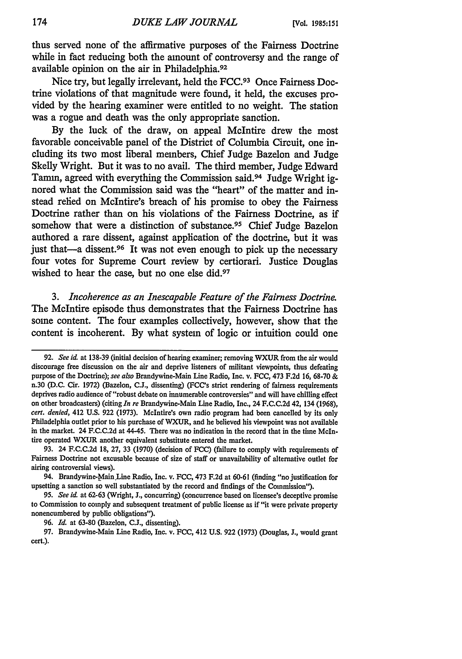thus served none of the affirmative purposes of the Fairness Doctrine while in fact reducing both the amount of controversy and the range of available opinion on the air in Philadelphia.92

Nice try, but legally irrelevant, held the **FCC.93** Once Fairness Doctrine violations of that magnitude were found, it held, the excuses provided **by** the hearing examiner were entitled to no weight. The station was a rogue and death was the only appropriate sanction.

**By** the luck of the draw, on appeal McIntire drew the most favorable conceivable panel of the District of Columbia Circuit, one including its two most liberal members, Chief Judge Bazelon and Judge Skelly Wright. But it was to no avail. The third member, Judge Edward Tamm, agreed with everything the Commission said.94 Judge Wright ignored what the Commission said was the "heart" of the matter and instead relied on McIntire's breach of his promise to obey the Fairness Doctrine rather than on his violations of the Fairness Doctrine, as if somehow that were a distinction of substance.<sup>95</sup> Chief Judge Bazelon authored a rare dissent, against application of the doctrine, but it was just that—a dissent.<sup>96</sup> It was not even enough to pick up the necessary four votes for Supreme Court review **by** certiorari. Justice Douglas wished to hear the case, but no one else did.<sup>97</sup>

*3. Incoherence as an Inescapable Feature of the Fairness Doctrine.* The McIntire episode thus demonstrates that the Fairness Doctrine has some content. The four examples collectively, however, show that the content is incoherent. **By** what system of logic or intuition could one

<sup>92.</sup> *See id.* at 138-39 (initial decision of hearing examiner; removing WXUR from the air would discourage free discussion on the air and deprive listeners of militant viewpoints, thus defeating purpose of the Doctrine); see also Brandywine-Main Line Radio, Inc. v. FCC, 473 F.2d 16, **68-70 &** n.30 (D.C. Cir. 1972) (Bazelon, C.J., dissenting) (FCC's strict rendering of fairness requirements deprives radio audience of "robust debate on innumerable controversies" and will have chilling effect on other broadcasters) (citing *In re* Brandywine-Main Line Radio, Inc., 24 F.C.C.2d 42, 134 (1968), *cert. denied,* 412 U.S. 922 (1973). McIntire's own radio program had been cancelled **by** its only Philadelphia outlet prior to his purchase of WXUR, and he believed his viewpoint was not available in the market. 24 F.C.C.2d at 44-45. There was no indication in the record that in the time McIntire operated WXUR another equivalent substitute entered the market.

<sup>93. 24</sup> F.C.C.2d 18, 27, 33 (1970) (decision of FCC) (failure to comply with requirements of Fairness Doctrine not excusable because of size of staff or unavailability of alternative outlet for airing controversial views).

<sup>94.</sup> Brandywine-MainLine Radio, Inc. v. FCC, 473 F.2d at 60-61 (finding "no justification for upsetting a sanction so well substantiated **by** the record and findings of the Commission").

<sup>95.</sup> *See id.* at 62-63 (Wright, **J.,** concurring) (concurrence based on licensee's deceptive promise to Commission to comply and subsequent treatment of public license as if "it were private property nonencumbered by public obligations").

<sup>96.</sup> *Id.* at 63-80 (Bazelon, C.J., dissenting).

<sup>97.</sup> Brandywine-Main Line Radio, Inc. v. FCC, 412 U.S. 922 (1973) (Douglas, J., would grant cert.).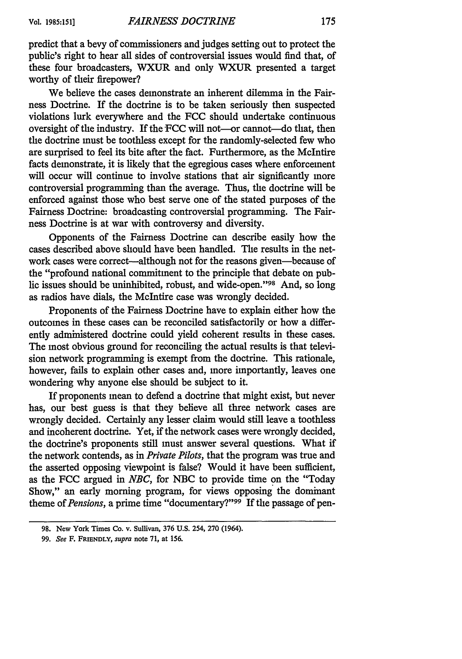predict that a bevy of commissioners and judges setting out to protect the public's right to hear all sides of controversial issues would find that, of these four broadcasters, WXUR and only WXUR presented a target worthy of their firepower?

We believe the cases demonstrate an inherent dilemma in the Fairness Doctrine. If the doctrine is to be taken seriously then suspected violations lurk everywhere and the **FCC** should undertake continuous oversight of the industry. If the FCC will not-or cannot-do that, then the doctrine must be toothless except for the randomly-selected few who are surprised to feel its bite after the fact. Furthermore, as the McIntire facts demonstrate, it is likely that the egregious cases where enforcement will occur will continue to involve stations that air significantly more controversial programming than the average. Thus, the doctrine will be enforced against those who best serve one of the stated purposes of the Fairness Doctrine: broadcasting controversial programming. The Fairness Doctrine is at war with controversy and diversity.

Opponents of the Fairness Doctrine can describe easily how the cases described above should have been handled. The results in the network cases were correct—although not for the reasons given—because of the "profound national commitment to the principle that debate on public issues should be uninhibited, robust, and wide-open."<sup>98</sup> And, so long as radios have dials, the McIntire case was wrongly decided.

Proponents of the Fairness Doctrine have to explain either how the outcomes in these cases can be reconciled satisfactorily or how a differently administered doctrine could yield coherent results in these cases. The most obvious ground for reconciling the actual results is that television network programming is exempt from the doctrine. This rationale, however, fails to explain other cases and, more importantly, leaves one wondering why anyone else should be subject to it.

If proponents mean to defend a doctrine that might exist, but never has, our best guess is that they believe all three network cases are wrongly decided. Certainly any lesser claim would still leave a toothless and incoherent doctrine. Yet, if the network cases were wrongly decided, the doctrine's proponents still must answer several questions. What if the network contends, as in *Private Pilots,* that the program was true and the asserted opposing viewpoint is false? Would it have been sufficient, as the FCC argued in *NBC,* for NBC to provide time on the "Today Show," an early morning program, for views opposing the dominant theme of *Pensions*, a prime time "documentary?"<sup>99</sup> If the passage of pen-

<sup>98.</sup> New York Times Co. v. Sullivan, 376 U.S. 254, 270 (1964).

<sup>99.</sup> *See* F. FRIENDLY, *supra* note 71, at 156.